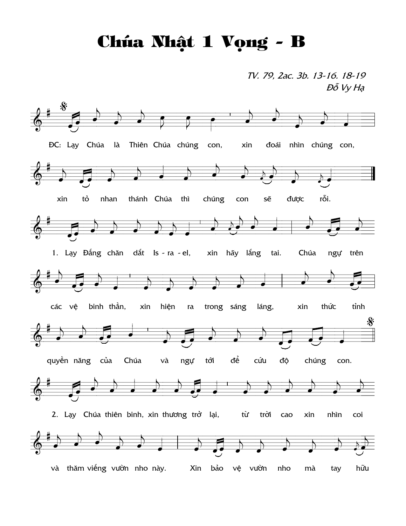## Chúa Nhật 1 Vọng - B

TV. 79, 2ac. 3b. 13-16. 18-19 Đỗ Vy Hạ